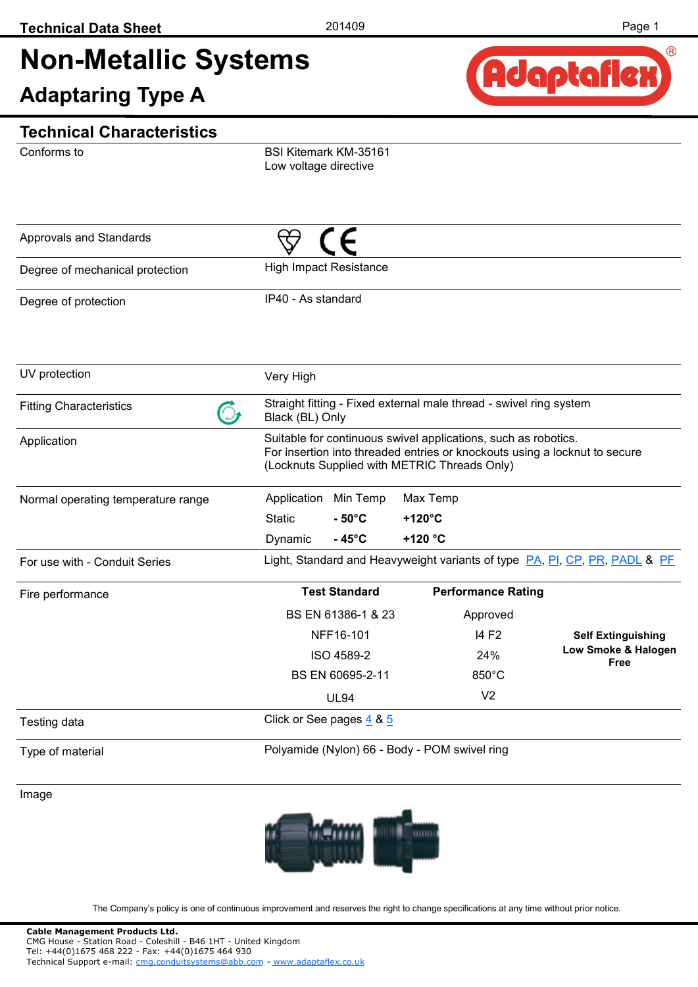# **Non-Metallic Systems**

**Adaptaring Type A** 



#### **Technical Characteristics**

Conforms to

BSI Kitemark KM-35161 Low voltage directive

| Approvals and Standards            |                               |                          |                                               |                                                                    |                                                                            |
|------------------------------------|-------------------------------|--------------------------|-----------------------------------------------|--------------------------------------------------------------------|----------------------------------------------------------------------------|
| Degree of mechanical protection    | <b>High Impact Resistance</b> |                          |                                               |                                                                    |                                                                            |
| Degree of protection               | IP40 - As standard            |                          |                                               |                                                                    |                                                                            |
| UV protection                      | Very High                     |                          |                                               |                                                                    |                                                                            |
| <b>Fitting Characteristics</b>     | Black (BL) Only               |                          |                                               | Straight fitting - Fixed external male thread - swivel ring system |                                                                            |
| Application                        |                               |                          | (Locknuts Supplied with METRIC Threads Only)  | Suitable for continuous swivel applications, such as robotics.     | For insertion into threaded entries or knockouts using a locknut to secure |
| Normal operating temperature range | Application                   | Min Temp                 | Max Temp                                      |                                                                    |                                                                            |
|                                    | <b>Static</b>                 | $-50^{\circ}$ C          | +120°C                                        |                                                                    |                                                                            |
|                                    | Dynamic                       | $-45^{\circ}$ C          | +120 °C                                       |                                                                    |                                                                            |
| For use with - Conduit Series      |                               |                          |                                               |                                                                    | Light, Standard and Heavyweight variants of type PA, PI, CP, PR, PADL & PF |
| Fire performance                   |                               | <b>Test Standard</b>     |                                               | <b>Performance Rating</b>                                          |                                                                            |
|                                    |                               | BS EN 61386-1 & 23       |                                               | Approved                                                           |                                                                            |
|                                    |                               | NFF16-101                |                                               | 14 F <sub>2</sub>                                                  | <b>Self Extinguishing</b>                                                  |
|                                    |                               | ISO 4589-2               |                                               | 24%                                                                | Low Smoke & Halogen<br><b>Free</b>                                         |
|                                    |                               | BS EN 60695-2-11         |                                               | 850°C                                                              |                                                                            |
|                                    |                               | <b>UL94</b>              |                                               | V <sub>2</sub>                                                     |                                                                            |
| Testing data                       |                               | Click or See pages 4 & 5 |                                               |                                                                    |                                                                            |
| Type of material                   |                               |                          | Polyamide (Nylon) 66 - Body - POM swivel ring |                                                                    |                                                                            |

Image

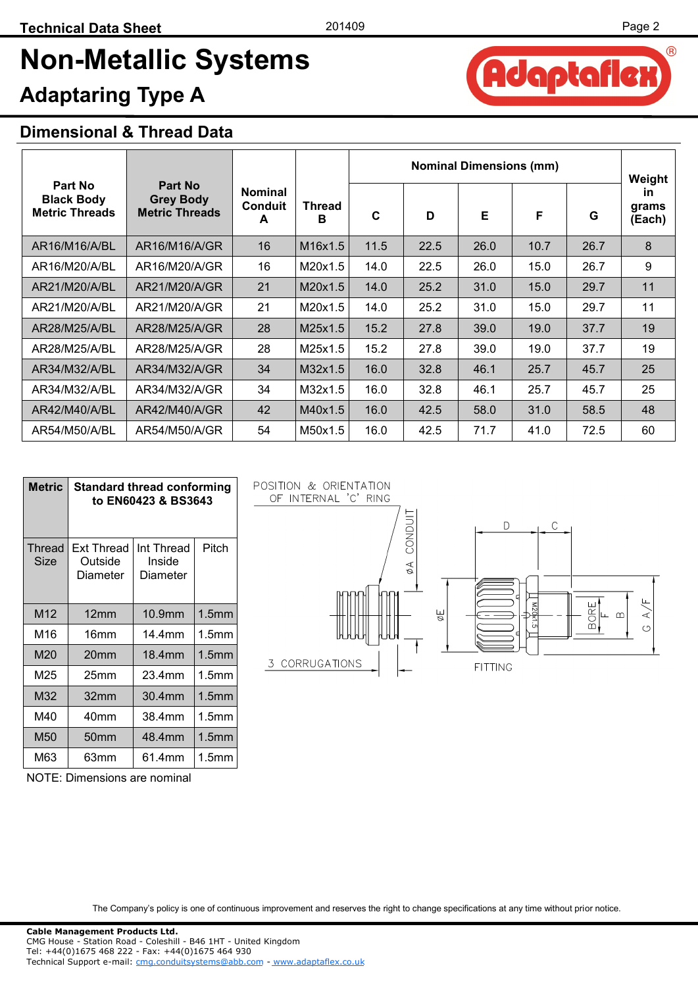daptafle;

 $(R)$ 

## **Non-Metallic Systems**

### **Adaptaring Type A**

#### **Dimensional & Thread Data**

|                                                       |                                                             |                                       |                    |      |      | <b>Nominal Dimensions (mm)</b> |      |      | Weight                       |
|-------------------------------------------------------|-------------------------------------------------------------|---------------------------------------|--------------------|------|------|--------------------------------|------|------|------------------------------|
| Part No<br><b>Black Body</b><br><b>Metric Threads</b> | <b>Part No</b><br><b>Grey Body</b><br><b>Metric Threads</b> | <b>Nominal</b><br><b>Conduit</b><br>A | <b>Thread</b><br>в | C    | D    | Е                              | F    | G    | <b>in</b><br>grams<br>(Each) |
| AR16/M16/A/BL                                         | AR16/M16/A/GR                                               | 16                                    | M16x1.5            | 11.5 | 22.5 | 26.0                           | 10.7 | 26.7 | 8                            |
| AR16/M20/A/BL                                         | AR16/M20/A/GR                                               | 16                                    | M20x1.5            | 14.0 | 22.5 | 26.0                           | 15.0 | 26.7 | 9                            |
| AR21/M20/A/BL                                         | AR21/M20/A/GR                                               | 21                                    | M20x1.5            | 14.0 | 25.2 | 31.0                           | 15.0 | 29.7 | 11                           |
| AR21/M20/A/BL                                         | AR21/M20/A/GR                                               | 21                                    | M20x1.5            | 14.0 | 25.2 | 31.0                           | 15.0 | 29.7 | 11                           |
| AR28/M25/A/BL                                         | AR28/M25/A/GR                                               | 28                                    | M25x1.5            | 15.2 | 27.8 | 39.0                           | 19.0 | 37.7 | 19                           |
| AR28/M25/A/BL                                         | AR28/M25/A/GR                                               | 28                                    | M25x1.5            | 15.2 | 27.8 | 39.0                           | 19.0 | 37.7 | 19                           |
| AR34/M32/A/BL                                         | AR34/M32/A/GR                                               | 34                                    | M32x1.5            | 16.0 | 32.8 | 46.1                           | 25.7 | 45.7 | 25                           |
| AR34/M32/A/BL                                         | AR34/M32/A/GR                                               | 34                                    | M32x1.5            | 16.0 | 32.8 | 46.1                           | 25.7 | 45.7 | 25                           |
| AR42/M40/A/BL                                         | AR42/M40/A/GR                                               | 42                                    | M40x1.5            | 16.0 | 42.5 | 58.0                           | 31.0 | 58.5 | 48                           |
| AR54/M50/A/BL                                         | AR54/M50/A/GR                                               | 54                                    | M50x1.5            | 16.0 | 42.5 | 71.7                           | 41.0 | 72.5 | 60                           |

| Metric         | <b>Standard thread conforming</b><br>to EN60423 & BS3643 |                                  |                   |  |  |  |  |  |
|----------------|----------------------------------------------------------|----------------------------------|-------------------|--|--|--|--|--|
| Thread<br>Size | Ext Thread<br>Outside<br>Diameter                        | Int Thread<br>Inside<br>Diameter | Pitch             |  |  |  |  |  |
| M12            | 12 <sub>mm</sub>                                         | 10.9mm                           | 1.5 <sub>mm</sub> |  |  |  |  |  |
| M16            | 16mm                                                     | 14.4mm                           | 1.5 <sub>mm</sub> |  |  |  |  |  |
| M20            | 20mm                                                     | 18.4mm                           | 1.5 <sub>mm</sub> |  |  |  |  |  |
| M25            | 25 <sub>mm</sub>                                         | 23.4mm                           | 1.5 <sub>mm</sub> |  |  |  |  |  |
| M32            | 32mm                                                     | 30.4mm                           | 1.5 <sub>mm</sub> |  |  |  |  |  |
| M40            | 40mm                                                     | 38.4mm                           | 1.5 <sub>mm</sub> |  |  |  |  |  |
| M50            | 50mm                                                     | 48.4mm                           | 1.5 <sub>mm</sub> |  |  |  |  |  |
| M63            | 63mm                                                     | 61.4mm                           | 1.5mm             |  |  |  |  |  |

NOTE: Dimensions are nominal

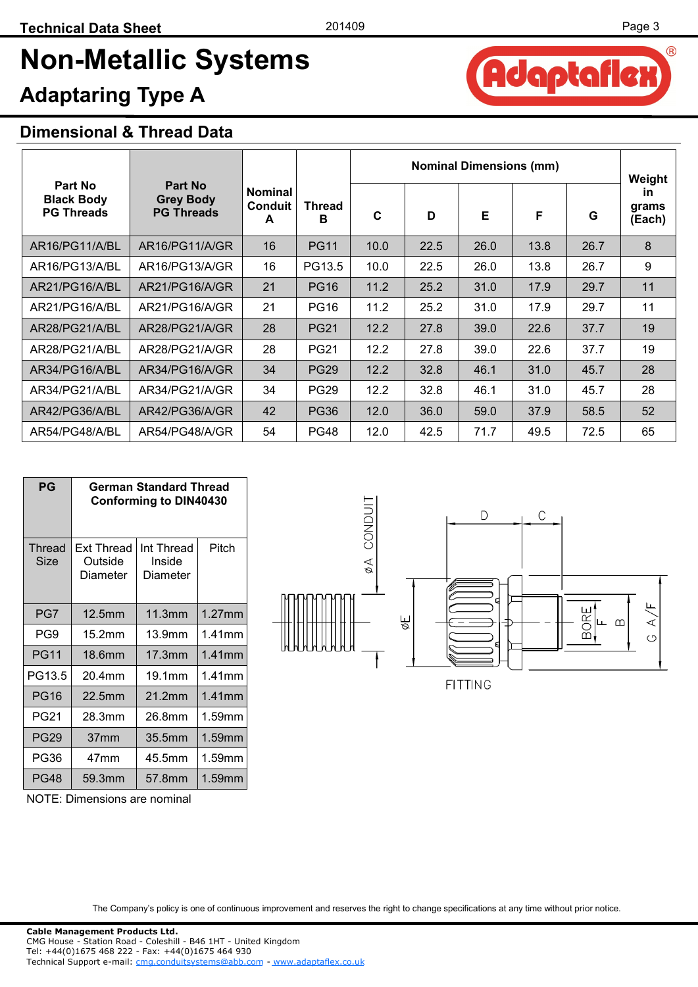daptafler

A

 $(R)$ 

## **Non-Metallic Systems**

### **Adaptaring Type A**

#### **Dimensional & Thread Data**

|                                                   |                                                  |                                       |                    |      |      | <b>Nominal Dimensions (mm)</b> |      |      | Weight                       |
|---------------------------------------------------|--------------------------------------------------|---------------------------------------|--------------------|------|------|--------------------------------|------|------|------------------------------|
| Part No<br><b>Black Body</b><br><b>PG Threads</b> | Part No<br><b>Grey Body</b><br><b>PG Threads</b> | <b>Nominal</b><br><b>Conduit</b><br>A | <b>Thread</b><br>В | C    | D    | Е                              | F    | G    | <b>in</b><br>grams<br>(Each) |
| AR16/PG11/A/BL                                    | AR16/PG11/A/GR                                   | 16                                    | <b>PG11</b>        | 10.0 | 22.5 | 26.0                           | 13.8 | 26.7 | 8                            |
| AR16/PG13/A/BL                                    | AR16/PG13/A/GR                                   | 16                                    | PG13.5             | 10.0 | 22.5 | 26.0                           | 13.8 | 26.7 | 9                            |
| AR21/PG16/A/BL                                    | AR21/PG16/A/GR                                   | 21                                    | <b>PG16</b>        | 11.2 | 25.2 | 31.0                           | 17.9 | 29.7 | 11                           |
| AR21/PG16/A/BL                                    | AR21/PG16/A/GR                                   | 21                                    | <b>PG16</b>        | 11.2 | 25.2 | 31.0                           | 17.9 | 29.7 | 11                           |
| AR28/PG21/A/BL                                    | AR28/PG21/A/GR                                   | 28                                    | <b>PG21</b>        | 12.2 | 27.8 | 39.0                           | 22.6 | 37.7 | 19                           |
| AR28/PG21/A/BL                                    | AR28/PG21/A/GR                                   | 28                                    | <b>PG21</b>        | 12.2 | 27.8 | 39.0                           | 22.6 | 37.7 | 19                           |
| AR34/PG16/A/BL                                    | AR34/PG16/A/GR                                   | 34                                    | <b>PG29</b>        | 12.2 | 32.8 | 46.1                           | 31.0 | 45.7 | 28                           |
| AR34/PG21/A/BL                                    | AR34/PG21/A/GR                                   | 34                                    | <b>PG29</b>        | 12.2 | 32.8 | 46.1                           | 31.0 | 45.7 | 28                           |
| AR42/PG36/A/BL                                    | AR42/PG36/A/GR                                   | 42                                    | <b>PG36</b>        | 12.0 | 36.0 | 59.0                           | 37.9 | 58.5 | 52                           |
| AR54/PG48/A/BL                                    | AR54/PG48/A/GR                                   | 54                                    | <b>PG48</b>        | 12.0 | 42.5 | 71.7                           | 49.5 | 72.5 | 65                           |

| $P$ G           | German Standard Thread<br><b>Conforming to DIN40430</b> |                                  |           |  |  |  |  |
|-----------------|---------------------------------------------------------|----------------------------------|-----------|--|--|--|--|
| Thread<br>Size  | Ext Thread<br>Outside<br>Diameter                       | Int Thread<br>Inside<br>Diameter | Pitch     |  |  |  |  |
| PG7             | 12.5mm                                                  | 11.3mm                           | $1.27$ mm |  |  |  |  |
| PG <sub>9</sub> | 15.2mm                                                  | 13.9mm                           | 1.41mm    |  |  |  |  |
| <b>PG11</b>     | 18.6mm                                                  | 17.3mm                           | $1.41$ mm |  |  |  |  |
| PG13.5          | 20.4mm                                                  | 19.1mm                           | 1.41mm    |  |  |  |  |
| <b>PG16</b>     | 22.5mm                                                  | 21.2mm                           | $1.41$ mm |  |  |  |  |
| <b>PG21</b>     | 28.3mm                                                  | 26.8mm                           | 1.59mm    |  |  |  |  |
| <b>PG29</b>     | 37mm                                                    | 35.5mm                           | 1.59mm    |  |  |  |  |
| <b>PG36</b>     | 47mm                                                    | 45.5mm                           | 1.59mm    |  |  |  |  |
| <b>PG48</b>     | 59.3mm                                                  | 57.8mm                           | 1.59mm    |  |  |  |  |

NOTE: Dimensions are nominal

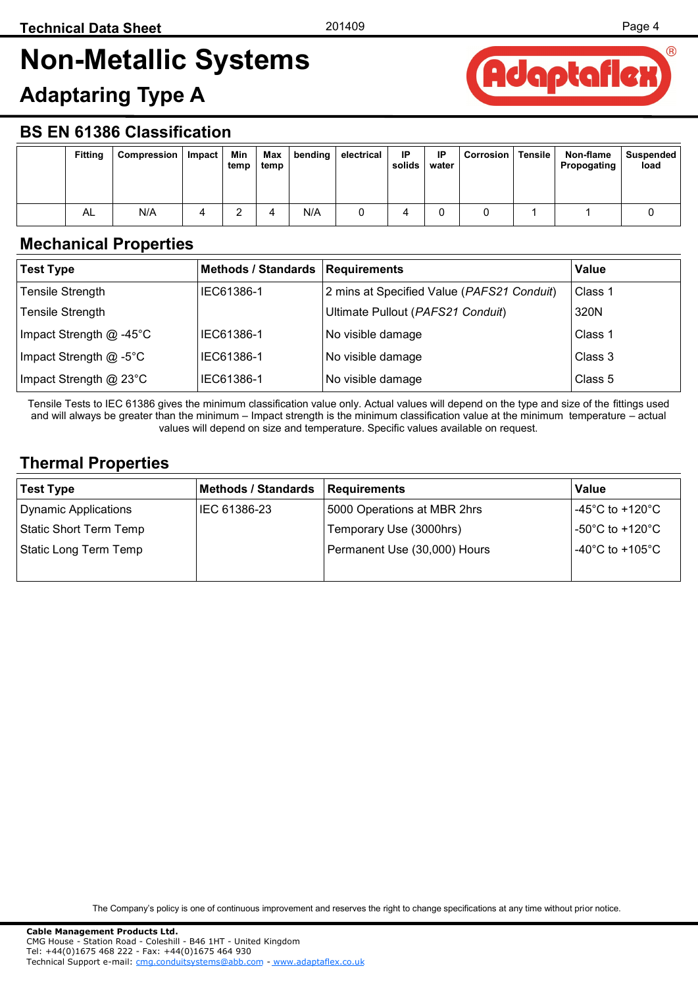*l*R

## <span id="page-3-0"></span>**Non-Metallic Systems**

### **Adaptaring Type A**



#### **BS EN 61386 Classification**

| <b>Fitting</b> | Compression | Impact | Min<br>temp | Max<br>temp | bending $ $ | electrical | IP<br>solids | IP<br>water | <b>Corrosion</b> | Tensile | Non-flame<br>Propogating | <b>Suspended</b><br>load |
|----------------|-------------|--------|-------------|-------------|-------------|------------|--------------|-------------|------------------|---------|--------------------------|--------------------------|
| AL             | N/A         |        |             |             | N/A         |            |              |             |                  |         |                          |                          |

#### **Mechanical Properties**

| <b>Test Type</b>          | Methods / Standards   Requirements |                                            | Value   |
|---------------------------|------------------------------------|--------------------------------------------|---------|
| <b>Tensile Strength</b>   | IEC61386-1                         | 2 mins at Specified Value (PAFS21 Conduit) | Class 1 |
| <b>Tensile Strength</b>   |                                    | Ultimate Pullout (PAFS21 Conduit)          | 320N    |
| Impact Strength $@$ -45°C | IEC61386-1                         | No visible damage                          | Class 1 |
| Impact Strength @ -5°C    | IEC61386-1                         | No visible damage                          | Class 3 |
| Impact Strength @ 23°C    | IEC61386-1                         | No visible damage                          | Class 5 |

Tensile Tests to IEC 61386 gives the minimum classification value only. Actual values will depend on the type and size of the fittings used and will always be greater than the minimum – Impact strength is the minimum classification value at the minimum temperature – actual values will depend on size and temperature. Specific values available on request.

#### **Thermal Properties**

| <b>Test Type</b>       | <b>Methods / Standards</b> | <b>Requirements</b>          | Value                                         |
|------------------------|----------------------------|------------------------------|-----------------------------------------------|
| Dynamic Applications   | IEC 61386-23               | 5000 Operations at MBR 2hrs  | $-45^{\circ}$ C to +120 $^{\circ}$ C $^{-1}$  |
| Static Short Term Temp |                            | Temporary Use (3000hrs)      | -50°C to +120°C                               |
| Static Long Term Temp  |                            | Permanent Use (30,000) Hours | $^{\shortmid}$ -40°C to +105°C $^{\shortmid}$ |
|                        |                            |                              |                                               |